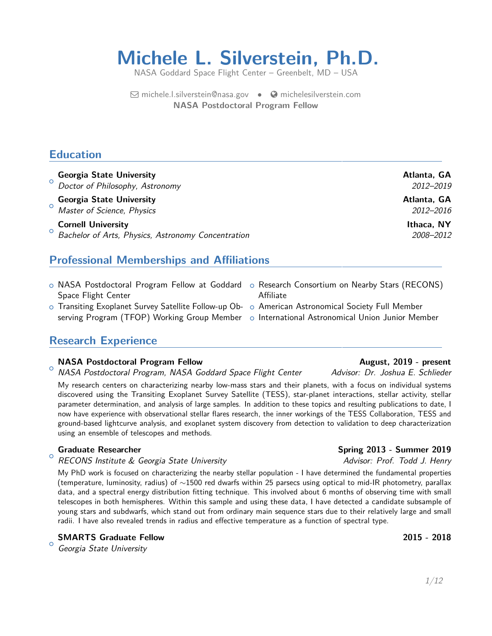# **Michele L. Silverstein, Ph.D.**

NASA Goddard Space Flight Center – Greenbelt, MD – USA

 $\boxdot$  [michele.l.silverstein@nasa.gov](mailto:michele.l.silverstein@nasa.gov)  $\bullet$   $\bullet$  [michelesilverstein.com](http://michelesilverstein.com) **NASA Postdoctoral Program Fellow**

### **Education**

| <b>Georgia State University</b><br>O Doctor of Philosophy, Astronomy                         | Atlanta, GA<br>2012-2019 |
|----------------------------------------------------------------------------------------------|--------------------------|
| <b>Georgia State University</b><br><sup>o</sup> Master of Science, Physics                   | Atlanta, GA<br>2012–2016 |
| <b>Cornell University</b><br><sup>O</sup> Bachelor of Arts, Physics, Astronomy Concentration | Ithaca, NY<br>2008-2012  |

## **Professional Memberships and Affiliations**

- $\,circ$  NASA Postdoctoral Program Fellow at Goddard  $\,$  o Research Consortium on Nearby Stars (RECONS) Space Flight Center
- $\circ$  Transiting Exoplanet Survey Satellite Follow-up Ob-  $\; \circ \;$  American Astronomical Society Full Member

## **Research Experience**

#### NASA Postdoctoral Program Fellow **August, 2019 - present**

 $\circ$ NASA Postdoctoral Program, NASA Goddard Space Flight Center Advisor: Dr. Joshua E. Schlieder

My research centers on characterizing nearby low-mass stars and their planets, with a focus on individual systems discovered using the Transiting Exoplanet Survey Satellite (TESS), star-planet interactions, stellar activity, stellar parameter determination, and analysis of large samples. In addition to these topics and resulting publications to date, I now have experience with observational stellar flares research, the inner workings of the TESS Collaboration, TESS and ground-based lightcurve analysis, and exoplanet system discovery from detection to validation to deep characterization using an ensemble of telescopes and methods.

 $\circ$ 

RECONS Institute & Georgia State University **Advices Constitute Advisor: Prof. Todd J. Henry** 

My PhD work is focused on characterizing the nearby stellar population - I have determined the fundamental properties (temperature, luminosity, radius) of ∼1500 red dwarfs within 25 parsecs using optical to mid-IR photometry, parallax data, and a spectral energy distribution fitting technique. This involved about 6 months of observing time with small telescopes in both hemispheres. Within this sample and using these data, I have detected a candidate subsample of young stars and subdwarfs, which stand out from ordinary main sequence stars due to their relatively large and small radii. I have also revealed trends in radius and effective temperature as a function of spectral type.

**SMARTS Graduate Fellow 2015 - 2018**

 $\circ$ Georgia State University

- Affiliate
- 
- serving Program (TFOP) Working Group Member o International Astronomical Union Junior Member

### **Graduate Researcher Spring 2013 - Summer 2019**

1[/12](#page-11-0)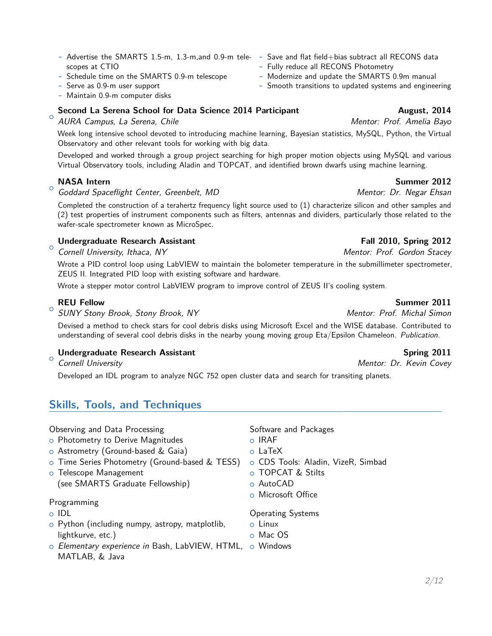- **-** Advertise the SMARTS 1.5-m, 1.3-m,and 0.9-m tele-**-** Save and flat field+bias subtract all RECONS data scopes at CTIO
- **-** Schedule time on the SMARTS 0.9-m telescope
- **-** Serve as 0.9-m user support
- **-** Maintain 0.9-m computer disks

## **Second La Serena School for Data Science 2014 Participant Augustic August, 2014**

#### $\circ$ AURA Campus, La Serena, Chile **Mentor: Prof. Amelia Bayo** Mentor: Prof. Amelia Bayo

Week long intensive school devoted to introducing machine learning, Bayesian statistics, MySQL, Python, the Virtual Observatory and other relevant tools for working with big data.

Developed and worked through a group project searching for high proper motion objects using MySQL and various Virtual Observatory tools, including Aladin and TOPCAT, and identified brown dwarfs using machine learning.

## **NASA Intern** Summer 2012

 $\circ$ Goddard Spaceflight Center, Greenbelt, MD New Agency Mentor: Dr. Negar Ehsan

Completed the construction of a terahertz frequency light source used to (1) characterize silicon and other samples and (2) test properties of instrument components such as filters, antennas and dividers, particularly those related to the wafer-scale spectrometer known as MicroSpec.

#### $\circ$ **Undergraduate Research Assistant Fall 2010, Spring 2012**

Cornell University, Ithaca, NY Mentor: Prof. Gordon Stacey

Wrote a PID control loop using LabVIEW to maintain the bolometer temperature in the submillimeter spectrometer, ZEUS II. Integrated PID loop with existing software and hardware.

Wrote a stepper motor control LabVIEW program to improve control of ZEUS II's cooling system.

### **REU Fellow Summer 2011**

 $\circ$ SUNY Stony Brook, Stony Brook, NY The Superintensity of Mentor: Prof. Michal Simon

Devised a method to check stars for cool debris disks using Microsoft Excel and the WISE database. Contributed to understanding of several cool debris disks in the nearby young moving group Eta/Epsilon Chameleon. Publication.

### **Undergraduate Research Assistant Spring 2011 Spring 2011**

 $\circ$ Cornell University **Mentor: Dr. Kevin Covey** 

Developed an IDL program to analyze NGC 752 open cluster data and search for transiting planets.

## **Skills, Tools, and Techniques**

Observing and Data Processing

- o Photometry to Derive Magnitudes
- o Astrometry (Ground-based & Gaia)
- o Time Series Photometry (Ground-based & TESS)
- o Telescope Management
	- (see SMARTS Graduate Fellowship)

### Programming

- o IDL
- $\circ$  Python (including numpy, astropy, matplotlib, lightkurve, etc.)
- $\circ$  *Elementary experience in* Bash, LabVIEW, HTML,  $\circ$  Windows MATLAB, & Java

Software and Packages

- $\circ$  IRAF
- o LaTeX
- o CDS Tools: Aladin, VizeR, Simbad
- o TOPCAT & Stilts
- o AutoCAD
- o Microsoft Office

Operating Systems

- $\circ$  Linux
- o Mac OS
- 

- **-** Fully reduce all RECONS Photometry
- **-** Modernize and update the SMARTS 0.9m manual
- **-** Smooth transitions to updated systems and engineering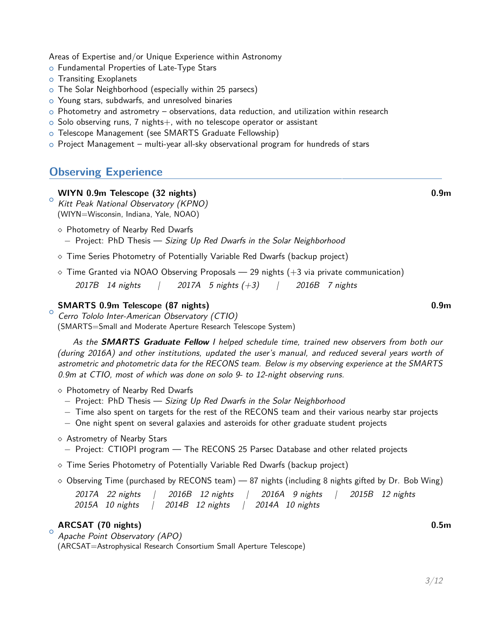Areas of Expertise and/or Unique Experience within Astronomy

- o Fundamental Properties of Late-Type Stars
- o Transiting Exoplanets
- o The Solar Neighborhood (especially within 25 parsecs)
- o Young stars, subdwarfs, and unresolved binaries
- $\circ$  Photometry and astrometry observations, data reduction, and utilization within research
- $\circ$  Solo observing runs, 7 nights+, with no telescope operator or assistant
- o Telescope Management (see SMARTS Graduate Fellowship)
- $\circ$  Project Management multi-year all-sky observational program for hundreds of stars

### **Observing Experience**

#### **WIYN 0.9m Telescope (32 nights) 0.9m**

 $\circ$ Kitt Peak National Observatory (KPNO) (WIYN=Wisconsin, Indiana, Yale, NOAO)

- $\diamond$  Photometry of Nearby Red Dwarfs − Project: PhD Thesis — Sizing Up Red Dwarfs in the Solar Neighborhood
- $\circ$  Time Series Photometry of Potentially Variable Red Dwarfs (backup project)
- $\circ$  Time Granted via NOAO Observing Proposals 29 nights  $(+3 \text{ via private communication})$ 2017B 14 nights  $\begin{pmatrix} 2017A & 5 \text{ nights } (+3) \end{pmatrix}$  / 2016B 7 nights

#### **SMARTS 0.9m Telescope (87 nights) 0.9m**

 $\circ$ 

 $\circ$ 

Cerro Tololo Inter-American Observatory (CTIO) (SMARTS=Small and Moderate Aperture Research Telescope System)

As the **SMARTS Graduate Fellow** I helped schedule time, trained new observers from both our (during 2016A) and other institutions, updated the user's manual, and reduced several years worth of astrometric and photometric data for the RECONS team. Below is my observing experience at the SMARTS 0.9m at CTIO, most of which was done on solo 9- to 12-night observing runs.

- $\diamond$  Photometry of Nearby Red Dwarfs
	- − Project: PhD Thesis Sizing Up Red Dwarfs in the Solar Neighborhood
	- − Time also spent on targets for the rest of the RECONS team and their various nearby star projects
	- − One night spent on several galaxies and asteroids for other graduate student projects
- $\diamond$  Astrometry of Nearby Stars
	- − Project: CTIOPI program The RECONS 25 Parsec Database and other related projects
- $\circ$  Time Series Photometry of Potentially Variable Red Dwarfs (backup project)
- $\diamond$  Observing Time (purchased by RECONS team) 87 nights (including 8 nights gifted by Dr. Bob Wing)

|                               |  | 2017A 22 nights   2016B 12 nights   2016A 9 nights |  | 2015B 12 nights |
|-------------------------------|--|----------------------------------------------------|--|-----------------|
| 2015A 10 nights $\frac{1}{2}$ |  | 2014B 12 nights   2014A 10 nights                  |  |                 |

#### **ARCSAT (70 nights) 0.5m**

Apache Point Observatory (APO) (ARCSAT=Astrophysical Research Consortium Small Aperture Telescope)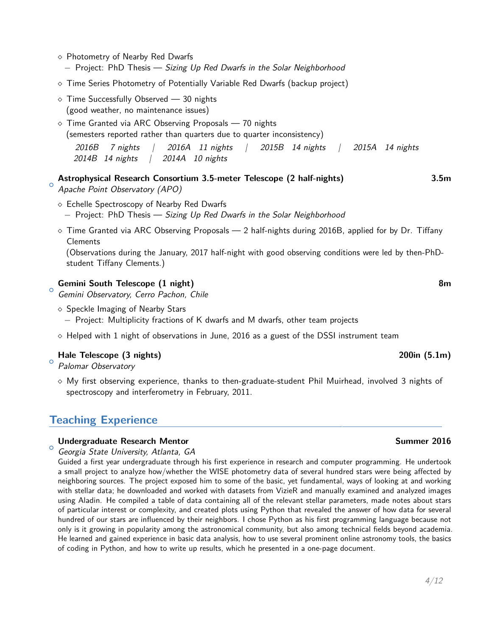- $\diamond$  Photometry of Nearby Red Dwarfs
	- − Project: PhD Thesis Sizing Up Red Dwarfs in the Solar Neighborhood
- Time Series Photometry of Potentially Variable Red Dwarfs (backup project)
- $\circ$  Time Successfully Observed  $-$  30 nights (good weather, no maintenance issues)
- $\circ$  Time Granted via ARC Observing Proposals  $-$  70 nights (semesters reported rather than quarters due to quarter inconsistency)
	- 2016B 7 nights | 2016A 11 nights | 2015B 14 nights | 2015A 14 nights 2014B 14 nights | 2014A 10 nights
- $\circ$ **Astrophysical Research Consortium 3.5-meter Telescope (2 half-nights) 3.5m** Apache Point Observatory (APO)
	- $\Diamond$  Echelle Spectroscopy of Nearby Red Dwarfs
		- − Project: PhD Thesis Sizing Up Red Dwarfs in the Solar Neighborhood
	- $\circ$  Time Granted via ARC Observing Proposals 2 half-nights during 2016B, applied for by Dr. Tiffany **Clements**

(Observations during the January, 2017 half-night with good observing conditions were led by then-PhDstudent Tiffany Clements.)

#### **Gemini South Telescope (1 night) 8m**

<sup>o</sup> Gemini Observatory, Cerro Pachon, Chile

- $\diamond$  Speckle Imaging of Nearby Stars
	- − Project: Multiplicity fractions of K dwarfs and M dwarfs, other team projects
- $\Diamond$  Helped with 1 night of observations in June, 2016 as a guest of the DSSI instrument team

#### **Hale Telescope (3 nights) 200in (5.1m)**

 $\circ$ Palomar Observatory

 $\lozenge$  My first observing experience, thanks to then-graduate-student Phil Muirhead, involved 3 nights of spectroscopy and interferometry in February, 2011.

### **Teaching Experience**

#### **Undergraduate Research Mentor Summer 2016**

 $\circ$ Georgia State University, Atlanta, GA

Guided a first year undergraduate through his first experience in research and computer programming. He undertook a small project to analyze how/whether the WISE photometry data of several hundred stars were being affected by neighboring sources. The project exposed him to some of the basic, yet fundamental, ways of looking at and working with stellar data; he downloaded and worked with datasets from VizieR and manually examined and analyzed images using Aladin. He compiled a table of data containing all of the relevant stellar parameters, made notes about stars of particular interest or complexity, and created plots using Python that revealed the answer of how data for several hundred of our stars are influenced by their neighbors. I chose Python as his first programming language because not only is it growing in popularity among the astronomical community, but also among technical fields beyond academia. He learned and gained experience in basic data analysis, how to use several prominent online astronomy tools, the basics of coding in Python, and how to write up results, which he presented in a one-page document.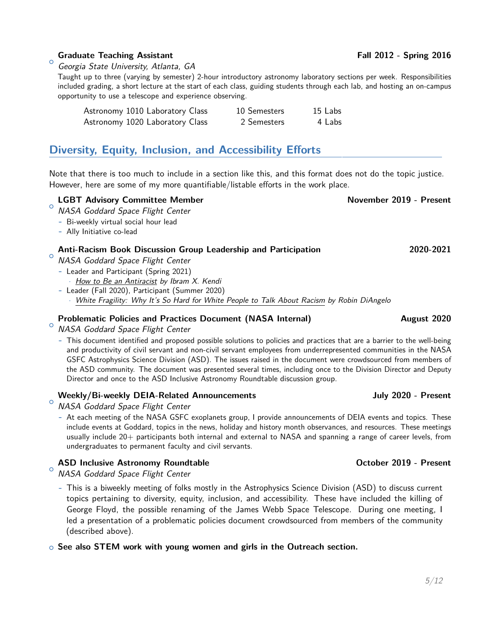#### **Graduate Teaching Assistant Community Community Community Community Community Community Community Community Community Community Community Community Community Community Community Community Community Community Community Com**

 $\circ$ Georgia State University, Atlanta, GA

Taught up to three (varying by semester) 2-hour introductory astronomy laboratory sections per week. Responsibilities included grading, a short lecture at the start of each class, guiding students through each lab, and hosting an on-campus opportunity to use a telescope and experience observing.

| Astronomy 1010 Laboratory Class | 10 Semesters | 15 Labs |
|---------------------------------|--------------|---------|
| Astronomy 1020 Laboratory Class | 2 Semesters  | 4 Labs  |

### **Diversity, Equity, Inclusion, and Accessibility Efforts**

Note that there is too much to include in a section like this, and this format does not do the topic justice. However, here are some of my more quantifiable/listable efforts in the work place.

#### $\circ$ LGBT Advisory Committee Member November 2019 - Present

- NASA Goddard Space Flight Center
- **-** Bi-weekly virtual social hour lead
- **-** Ally Initiative co-lead

#### **Anti-Racism Book Discussion Group Leadership and Participation 2020-2021**

- $\circ$ NASA Goddard Space Flight Center
	- **-** Leader and Participant (Spring 2021)
		- · How to Be an Antiracist by Ibram X. Kendi
	- **-** Leader (Fall 2020), Participant (Summer 2020)
		- White Fragility: Why It's So Hard for White People to Talk About Racism by Robin DiAngelo

#### **Problematic Policies and Practices Document (NASA Internal) August 2020**

 $^\circ$  NASA Goddard Space Flight Center

**-** This document identified and proposed possible solutions to policies and practices that are a barrier to the well-being and productivity of civil servant and non-civil servant employees from underrepresented communities in the NASA GSFC Astrophysics Science Division (ASD). The issues raised in the document were crowdsourced from members of the ASD community. The document was presented several times, including once to the Division Director and Deputy Director and once to the ASD Inclusive Astronomy Roundtable discussion group.

#### Weekly/Bi-weekly DEIA-Related Announcements **State State State State State State State State State State State State State State State State State State State State State State State State State State State State State Sta**

- $\circ$ NASA Goddard Space Flight Center
	- **-** At each meeting of the NASA GSFC exoplanets group, I provide announcements of DEIA events and topics. These include events at Goddard, topics in the news, holiday and history month observances, and resources. These meetings usually include 20+ participants both internal and external to NASA and spanning a range of career levels, from undergraduates to permanent faculty and civil servants.

#### ASD Inclusive Astronomy Roundtable **Astronomy Roundtable CELL COLL ASSES** October 2019 - Present

 $\circ$ NASA Goddard Space Flight Center

**-** This is a biweekly meeting of folks mostly in the Astrophysics Science Division (ASD) to discuss current topics pertaining to diversity, equity, inclusion, and accessibility. These have included the killing of George Floyd, the possible renaming of the James Webb Space Telescope. During one meeting, I led a presentation of a problematic policies document crowdsourced from members of the community (described above).

<sup>+</sup> **See also STEM work with young women and girls in the Outreach section.**

### 5[/12](#page-11-0)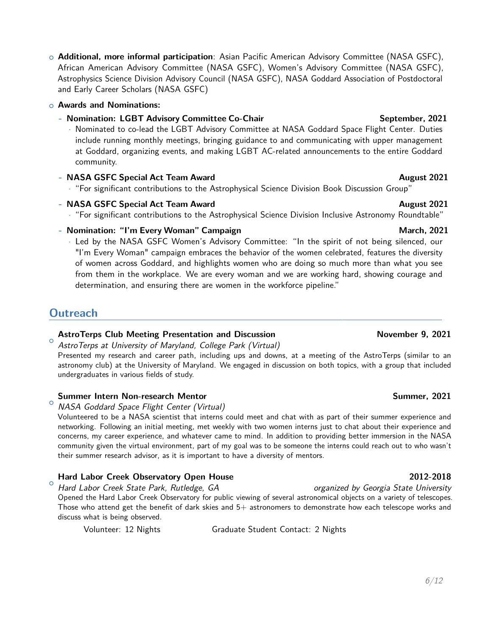<sup>+</sup> **Additional, more informal participation**: Asian Pacific American Advisory Committee (NASA GSFC), African American Advisory Committee (NASA GSFC), Women's Advisory Committee (NASA GSFC), Astrophysics Science Division Advisory Council (NASA GSFC), NASA Goddard Association of Postdoctoral and Early Career Scholars (NASA GSFC)

#### <sup>+</sup> **Awards and Nominations:**

### **- Nomination: LGBT Advisory Committee Co-Chair** September, 2021

· Nominated to co-lead the LGBT Advisory Committee at NASA Goddard Space Flight Center. Duties include running monthly meetings, bringing guidance to and communicating with upper management at Goddard, organizing events, and making LGBT AC-related announcements to the entire Goddard community.

### **- NASA GSFC Special Act Team Award August 2021**

· "For significant contributions to the Astrophysical Science Division Book Discussion Group"

### **- NASA GSFC Special Act Team Award August 2021**

· "For significant contributions to the Astrophysical Science Division Inclusive Astronomy Roundtable"

### **-** Nomination: "I'm Every Woman" Campaign March, 2021

· Led by the NASA GSFC Women's Advisory Committee: "In the spirit of not being silenced, our "I'm Every Woman" campaign embraces the behavior of the women celebrated, features the diversity of women across Goddard, and highlights women who are doing so much more than what you see from them in the workplace. We are every woman and we are working hard, showing courage and determination, and ensuring there are women in the workforce pipeline."

## **Outreach**

#### $\circ$ **AstroTerps Club Meeting Presentation and Discussion November 9, 2021**

AstroTerps at University of Maryland, College Park (Virtual)

Presented my research and career path, including ups and downs, at a meeting of the AstroTerps (similar to an astronomy club) at the University of Maryland. We engaged in discussion on both topics, with a group that included undergraduates in various fields of study.

### **Summer Intern Non-research Mentor Summer, 2021**

 $\circ$ NASA Goddard Space Flight Center (Virtual)

Volunteered to be a NASA scientist that interns could meet and chat with as part of their summer experience and networking. Following an initial meeting, met weekly with two women interns just to chat about their experience and concerns, my career experience, and whatever came to mind. In addition to providing better immersion in the NASA community given the virtual environment, part of my goal was to be someone the interns could reach out to who wasn't their summer research advisor, as it is important to have a diversity of mentors.

#### $\circ$ **Hard Labor Creek Observatory Open House 2012-2018**

Hard Labor Creek State Park, Rutledge, GA organized by Georgia State University Opened the Hard Labor Creek Observatory for public viewing of several astronomical objects on a variety of telescopes. Those who attend get the benefit of dark skies and  $5+$  astronomers to demonstrate how each telescope works and discuss what is being observed.

Volunteer: 12 Nights Graduate Student Contact: 2 Nights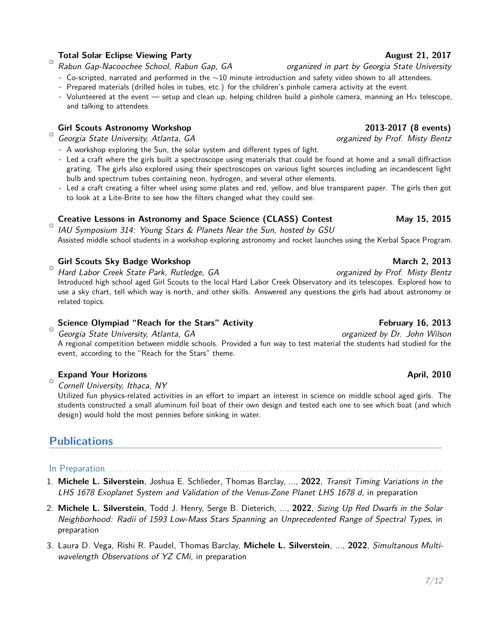### **Total Solar Eclipse Viewing Party August 21, 2017**

 $\circ$ Rabun Gap-Nacoochee School, Rabun Gap, GA organized in part by Georgia State University

- **-** Co-scripted, narrated and performed in the ∼10 minute introduction and safety video shown to all attendees.
- **-** Prepared materials (drilled holes in tubes, etc.) for the children's pinhole camera activity at the event.
- **-** Volunteered at the event setup and clean up, helping children build a pinhole camera, manning an H*α* telescope, and talking to attendees.

### **Girl Scouts Astronomy Workshop 2013-2017 (8 events)**

 $\circ$ Georgia State University, Atlanta, GA organized by Prof. Misty Bentz

- **-** A workshop exploring the Sun, the solar system and different types of light.
- **-** Led a craft where the girls built a spectroscope using materials that could be found at home and a small diffraction grating. The girls also explored using their spectroscopes on various light sources including an incandescent light bulb and spectrum tubes containing neon, hydrogen, and several other elements.
- **-** Led a craft creating a filter wheel using some plates and red, yellow, and blue transparent paper. The girls then got to look at a Lite-Brite to see how the filters changed what they could see.

#### $\circ$ **Creative Lessons in Astronomy and Space Science (CLASS) Contest May 15, 2015**

IAU Symposium 314: Young Stars & Planets Near the Sun, hosted by GSU Assisted middle school students in a workshop exploring astronomy and rocket launches using the Kerbal Space Program.

### Girl Scouts Sky Badge Workshop **March 2, 2013** March 2, 2013

 $\circ$ Hard Labor Creek State Park, Rutledge, GA **organized** by Prof. Misty Bentz Introduced high school aged Girl Scouts to the local Hard Labor Creek Observatory and its telescopes. Explored how to use a sky chart, tell which way is north, and other skills. Answered any questions the girls had about astronomy or related topics.

#### $\circ$ **Science Olympiad "Reach for the Stars" Activity February 16, 2013**

Georgia State University, Atlanta, GA organized by Dr. John Wilson A regional competition between middle schools. Provided a fun way to test material the students had studied for the event, according to the "Reach for the Stars" theme.

#### $\circ$ **Expand Your Horizons April, 2010 April, 2010**

Cornell University, Ithaca, NY

Utilized fun physics-related activities in an effort to impart an interest in science on middle school aged girls. The students constructed a small aluminum foil boat of their own design and tested each one to see which boat (and which design) would hold the most pennies before sinking in water.

## **Publications**

- In Preparation...............
- 1. **Michele L. Silverstein**, Joshua E. Schlieder, Thomas Barclay, ..., **2022**, Transit Timing Variations in the LHS 1678 Exoplanet System and Validation of the Venus-Zone Planet LHS 1678 d, in preparation
- 2. **Michele L. Silverstein**, Todd J. Henry, Serge B. Dieterich, ..., **2022**, Sizing Up Red Dwarfs in the Solar Neighborhood: Radii of 1593 Low-Mass Stars Spanning an Unprecedented Range of Spectral Types, in preparation
- 3. Laura D. Vega, Rishi R. Paudel, Thomas Barclay, **Michele L. Silverstein**, ..., **2022**, Simultanous Multiwavelength Observations of YZ CMi, in preparation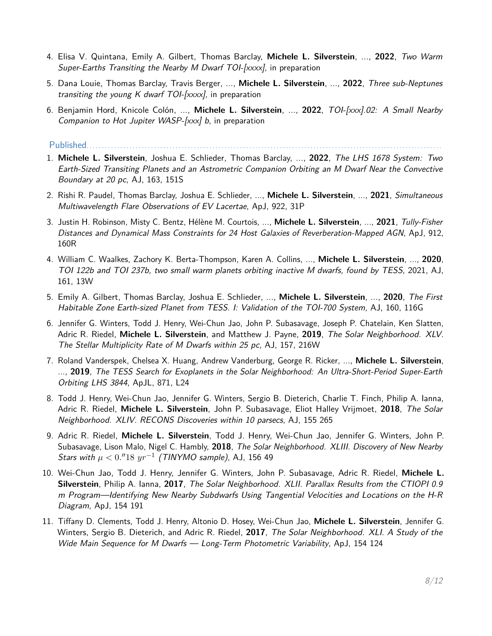- 4. Elisa V. Quintana, Emily A. Gilbert, Thomas Barclay, **Michele L. Silverstein**, ..., **2022**, Two Warm Super-Earths Transiting the Nearby M Dwarf TOI- $[xxxx]$ , in preparation
- 5. Dana Louie, Thomas Barclay, Travis Berger, ..., **Michele L. Silverstein**, ..., **2022**, Three sub-Neptunes transiting the young K dwarf  $TOI$ -[xxxx], in preparation
- 6. Benjamin Hord, Knicole Colón, ..., **Michele L. Silverstein**, ..., **2022**, TOI-[xxx].02: A Small Nearby Companion to Hot Jupiter WASP-[xxx] b, in preparation

Published...................

- 1. **Michele L. Silverstein**, Joshua E. Schlieder, Thomas Barclay, ..., **2022**, The LHS 1678 System: Two Earth-Sized Transiting Planets and an Astrometric Companion Orbiting an M Dwarf Near the Convective Boundary at 20 pc, AJ, 163, 151S
- 2. Rishi R. Paudel, Thomas Barclay, Joshua E. Schlieder, ..., **Michele L. Silverstein**, ..., **2021**, Simultaneous Multiwavelength Flare Observations of EV Lacertae, ApJ, 922, 31P
- 3. Justin H. Robinson, Misty C. Bentz, Hélène M. Courtois, ..., **Michele L. Silverstein**, ..., **2021**, Tully-Fisher Distances and Dynamical Mass Constraints for 24 Host Galaxies of Reverberation-Mapped AGN, ApJ, 912, 160R
- 4. William C. Waalkes, Zachory K. Berta-Thompson, Karen A. Collins, ..., **Michele L. Silverstein**, ..., **2020**, TOI 122b and TOI 237b, two small warm planets orbiting inactive M dwarfs, found by TESS, 2021, AJ, 161, 13W
- 5. Emily A. Gilbert, Thomas Barclay, Joshua E. Schlieder, ..., **Michele L. Silverstein**, ..., **2020**, The First Habitable Zone Earth-sized Planet from TESS. I: Validation of the TOI-700 System, AJ, 160, 116G
- 6. Jennifer G. Winters, Todd J. Henry, Wei-Chun Jao, John P. Subasavage, Joseph P. Chatelain, Ken Slatten, Adric R. Riedel, **Michele L. Silverstein**, and Matthew J. Payne, **2019**, The Solar Neighborhood. XLV. The Stellar Multiplicity Rate of M Dwarfs within 25 pc, AJ, 157, 216W
- 7. Roland Vanderspek, Chelsea X. Huang, Andrew Vanderburg, George R. Ricker, ..., **Michele L. Silverstein**, ..., **2019**, The TESS Search for Exoplanets in the Solar Neighborhood: An Ultra-Short-Period Super-Earth Orbiting LHS 3844, ApJL, 871, L24
- 8. Todd J. Henry, Wei-Chun Jao, Jennifer G. Winters, Sergio B. Dieterich, Charlie T. Finch, Philip A. Ianna, Adric R. Riedel, **Michele L. Silverstein**, John P. Subasavage, Eliot Halley Vrijmoet, **2018**, The Solar Neighborhood. XLIV. RECONS Discoveries within 10 parsecs, AJ, 155 265
- 9. Adric R. Riedel, **Michele L. Silverstein**, Todd J. Henry, Wei-Chun Jao, Jennifer G. Winters, John P. Subasavage, Lison Malo, Nigel C. Hambly, **2018**, The Solar Neighborhood. XLIII. Discovery of New Nearby  $\textit{Stars with }\mu < 0.^{\prime\prime} 18\,\,yr^{-1}$  (TINYMO sample), AJ, 156 49
- 10. Wei-Chun Jao, Todd J. Henry, Jennifer G. Winters, John P. Subasavage, Adric R. Riedel, **Michele L. Silverstein**, Philip A. Ianna, **2017**, The Solar Neighborhood. XLII. Parallax Results from the CTIOPI 0.9 m Program—Identifying New Nearby Subdwarfs Using Tangential Velocities and Locations on the H-R Diagram, ApJ, 154 191
- 11. Tiffany D. Clements, Todd J. Henry, Altonio D. Hosey, Wei-Chun Jao, **Michele L. Silverstein**, Jennifer G. Winters, Sergio B. Dieterich, and Adric R. Riedel, **2017**, The Solar Neighborhood. XLI. A Study of the Wide Main Sequence for M Dwarfs — Long-Term Photometric Variability, ApJ, 154 124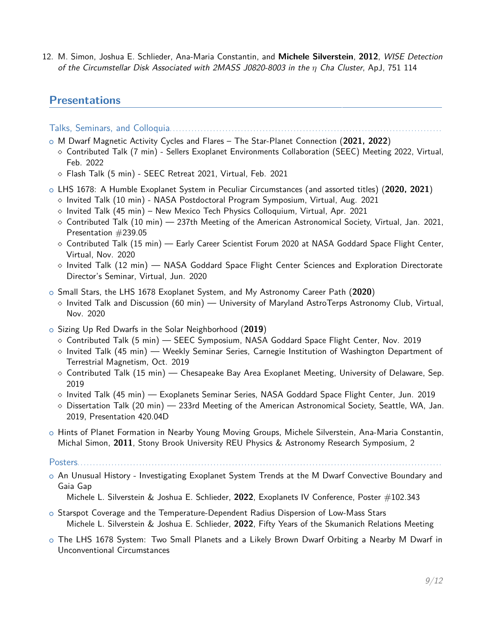12. M. Simon, Joshua E. Schlieder, Ana-Maria Constantin, and **Michele Silverstein**, **2012**, WISE Detection of the Circumstellar Disk Associated with 2MASS J0820-8003 in the *η* Cha Cluster, ApJ, 751 114

### **Presentations**

Talks, Seminars, and Colloquia. . . . . . . . . . . . . . . . . . . . . . . . . . . . . . . . . . . . . . . . . . . . . . . . . . . . . . . . . . . . . . . . . . . . . . . . . . . . . . . . . . . . . . . .

- <sup>+</sup> M Dwarf Magnetic Activity Cycles and Flares The Star-Planet Connection (**2021, 2022**)
	- $\diamond$  Contributed Talk (7 min) Sellers Exoplanet Environments Collaboration (SEEC) Meeting 2022, Virtual, Feb. 2022
	- $\circ$  Flash Talk (5 min) SEEC Retreat 2021, Virtual, Feb. 2021
- <sup>+</sup> LHS 1678: A Humble Exoplanet System in Peculiar Circumstances (and assorted titles) (**2020, 2021**)
	- $\circ$  Invited Talk (10 min) NASA Postdoctoral Program Symposium, Virtual, Aug. 2021
	- $\circ$  Invited Talk (45 min) New Mexico Tech Physics Colloquium, Virtual, Apr. 2021
	- $\circ$  Contributed Talk (10 min) 237th Meeting of the American Astronomical Society, Virtual, Jan. 2021, Presentation #239.05
	- $\diamond$  Contributed Talk (15 min) Early Career Scientist Forum 2020 at NASA Goddard Space Flight Center, Virtual, Nov. 2020
	- $\circ$  Invited Talk (12 min) NASA Goddard Space Flight Center Sciences and Exploration Directorate Director's Seminar, Virtual, Jun. 2020
- <sup>+</sup> Small Stars, the LHS 1678 Exoplanet System, and My Astronomy Career Path (**2020**)
	- $\circ$  Invited Talk and Discussion (60 min) University of Maryland AstroTerps Astronomy Club, Virtual, Nov. 2020
- <sup>+</sup> Sizing Up Red Dwarfs in the Solar Neighborhood (**2019**)
	- $\circ$  Contributed Talk (5 min)  $-$  SEEC Symposium, NASA Goddard Space Flight Center, Nov. 2019
	- $\circ$  Invited Talk (45 min) Weekly Seminar Series, Carnegie Institution of Washington Department of Terrestrial Magnetism, Oct. 2019
	- $\circ$  Contributed Talk (15 min) Chesapeake Bay Area Exoplanet Meeting, University of Delaware, Sep. 2019
	- $\circ$  Invited Talk (45 min) Exoplanets Seminar Series, NASA Goddard Space Flight Center, Jun. 2019
	- $\circ$  Dissertation Talk (20 min) 233rd Meeting of the American Astronomical Society, Seattle, WA, Jan. 2019, Presentation 420.04D
- o Hints of Planet Formation in Nearby Young Moving Groups, Michele Silverstein, Ana-Maria Constantin, Michal Simon, **2011**, Stony Brook University REU Physics & Astronomy Research Symposium, 2

 $\circ$  An Unusual History - Investigating Exoplanet System Trends at the M Dwarf Convective Boundary and Gaia Gap

- $\circ$  Starspot Coverage and the Temperature-Dependent Radius Dispersion of Low-Mass Stars Michele L. Silverstein & Joshua E. Schlieder, **2022**, Fifty Years of the Skumanich Relations Meeting
- $\circ$  The LHS 1678 System: Two Small Planets and a Likely Brown Dwarf Orbiting a Nearby M Dwarf in Unconventional Circumstances

Posters..........................

Michele L. Silverstein & Joshua E. Schlieder, **2022**, Exoplanets IV Conference, Poster #102.343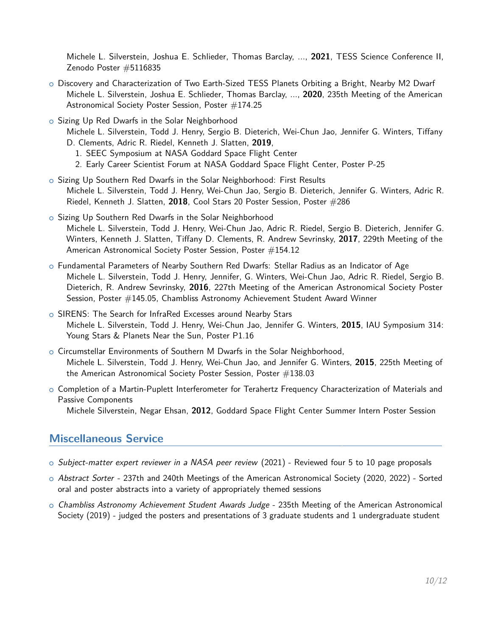Michele L. Silverstein, Joshua E. Schlieder, Thomas Barclay, ..., **2021**, TESS Science Conference II, Zenodo Poster #5116835

- o Discovery and Characterization of Two Earth-Sized TESS Planets Orbiting a Bright, Nearby M2 Dwarf Michele L. Silverstein, Joshua E. Schlieder, Thomas Barclay, ..., **2020**, 235th Meeting of the American Astronomical Society Poster Session, Poster #174.25
- o Sizing Up Red Dwarfs in the Solar Neighborhood
	- Michele L. Silverstein, Todd J. Henry, Sergio B. Dieterich, Wei-Chun Jao, Jennifer G. Winters, Tiffany D. Clements, Adric R. Riedel, Kenneth J. Slatten, **2019**,
		- 1. SEEC Symposium at NASA Goddard Space Flight Center
		- 2. Early Career Scientist Forum at NASA Goddard Space Flight Center, Poster P-25
- o Sizing Up Southern Red Dwarfs in the Solar Neighborhood: First Results Michele L. Silverstein, Todd J. Henry, Wei-Chun Jao, Sergio B. Dieterich, Jennifer G. Winters, Adric R. Riedel, Kenneth J. Slatten, **2018**, Cool Stars 20 Poster Session, Poster #286
- o Sizing Up Southern Red Dwarfs in the Solar Neighborhood Michele L. Silverstein, Todd J. Henry, Wei-Chun Jao, Adric R. Riedel, Sergio B. Dieterich, Jennifer G. Winters, Kenneth J. Slatten, Tiffany D. Clements, R. Andrew Sevrinsky, **2017**, 229th Meeting of the American Astronomical Society Poster Session, Poster #154.12
- o Fundamental Parameters of Nearby Southern Red Dwarfs: Stellar Radius as an Indicator of Age Michele L. Silverstein, Todd J. Henry, Jennifer, G. Winters, Wei-Chun Jao, Adric R. Riedel, Sergio B. Dieterich, R. Andrew Sevrinsky, **2016**, 227th Meeting of the American Astronomical Society Poster Session, Poster #145.05, Chambliss Astronomy Achievement Student Award Winner
- o SIRENS: The Search for InfraRed Excesses around Nearby Stars Michele L. Silverstein, Todd J. Henry, Wei-Chun Jao, Jennifer G. Winters, **2015**, IAU Symposium 314: Young Stars & Planets Near the Sun, Poster P1.16
- o Circumstellar Environments of Southern M Dwarfs in the Solar Neighborhood, Michele L. Silverstein, Todd J. Henry, Wei-Chun Jao, and Jennifer G. Winters, **2015**, 225th Meeting of the American Astronomical Society Poster Session, Poster  $\#138.03$
- $\circ$  Completion of a Martin-Puplett Interferometer for Terahertz Frequency Characterization of Materials and Passive Components

Michele Silverstein, Negar Ehsan, **2012**, Goddard Space Flight Center Summer Intern Poster Session

### **Miscellaneous Service**

- $\circ$  Subject-matter expert reviewer in a NASA peer review (2021) Reviewed four 5 to 10 page proposals
- <sup>+</sup> Abstract Sorter 237th and 240th Meetings of the American Astronomical Society (2020, 2022) Sorted oral and poster abstracts into a variety of appropriately themed sessions
- o Chambliss Astronomy Achievement Student Awards Judge 235th Meeting of the American Astronomical Society (2019) - judged the posters and presentations of 3 graduate students and 1 undergraduate student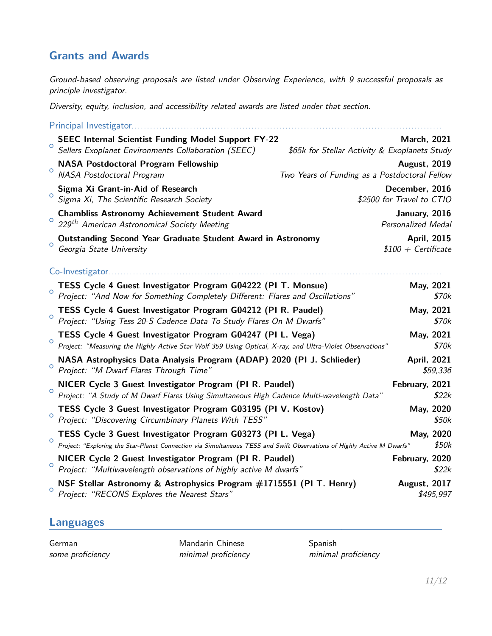## **Grants and Awards**

Ground-based observing proposals are listed under Observing Experience, with 9 successful proposals as principle investigator.

Diversity, equity, inclusion, and accessibility related awards are listed under that section.

|         | Principal Investigator.                                                                                                                                                               |                                                                     |                    |
|---------|---------------------------------------------------------------------------------------------------------------------------------------------------------------------------------------|---------------------------------------------------------------------|--------------------|
| $\circ$ | <b>SEEC Internal Scientist Funding Model Support FY-22</b><br>Sellers Exoplanet Environments Collaboration (SEEC)                                                                     | <b>March, 2021</b><br>\$65k for Stellar Activity & Exoplanets Study |                    |
|         | <b>NASA Postdoctoral Program Fellowship</b>                                                                                                                                           | <b>August, 2019</b>                                                 |                    |
| $\circ$ | NASA Postdoctoral Program                                                                                                                                                             | Two Years of Funding as a Postdoctoral Fellow                       |                    |
| $\circ$ | December, 2016<br>Sigma Xi Grant-in-Aid of Research<br>Sigma Xi, The Scientific Research Society<br>\$2500 for Travel to CTIO                                                         |                                                                     |                    |
| $\circ$ | <b>Chambliss Astronomy Achievement Student Award</b><br>January, 2016<br>229th American Astronomical Society Meeting<br><b>Personalized Medal</b>                                     |                                                                     |                    |
| $\circ$ | Outstanding Second Year Graduate Student Award in Astronomy<br>Georgia State University                                                                                               | $$100 + Centificance$                                               | <b>April, 2015</b> |
|         | Co-Investigator                                                                                                                                                                       |                                                                     |                    |
| $\circ$ | TESS Cycle 4 Guest Investigator Program G04222 (PI T. Monsue)<br>Project: "And Now for Something Completely Different: Flares and Oscillations"                                       |                                                                     | May, 2021<br>\$70k |
| $\circ$ | TESS Cycle 4 Guest Investigator Program G04212 (PI R. Paudel)<br>Project: "Using Tess 20-S Cadence Data To Study Flares On M Dwarfs"                                                  |                                                                     | May, 2021<br>\$70k |
| $\circ$ | TESS Cycle 4 Guest Investigator Program G04247 (PI L. Vega)<br>Project: "Measuring the Highly Active Star Wolf 359 Using Optical, X-ray, and Ultra-Violet Observations"               |                                                                     | May, 2021<br>\$70k |
| $\circ$ | NASA Astrophysics Data Analysis Program (ADAP) 2020 (PI J. Schlieder)<br>Project: "M Dwarf Flares Through Time"                                                                       | <b>April, 2021</b>                                                  | \$59,336           |
| $\circ$ | NICER Cycle 3 Guest Investigator Program (PI R. Paudel)<br>Project: "A Study of M Dwarf Flares Using Simultaneous High Cadence Multi-wavelength Data"                                 | February, 2021                                                      | \$22k              |
| $\circ$ | TESS Cycle 3 Guest Investigator Program G03195 (PI V. Kostov)<br>Project: "Discovering Circumbinary Planets With TESS"                                                                |                                                                     | May, 2020<br>\$50k |
| $\circ$ | TESS Cycle 3 Guest Investigator Program G03273 (PI L. Vega)<br>Project: "Exploring the Star-Planet Connection via Simultaneous TESS and Swift Observations of Highly Active M Dwarfs" |                                                                     | May, 2020<br>\$50k |
| $\circ$ | NICER Cycle 2 Guest Investigator Program (PI R. Paudel)<br>Project: "Multiwavelength observations of highly active M dwarfs"                                                          | February, 2020                                                      | \$22k              |
| $\circ$ | NSF Stellar Astronomy & Astrophysics Program #1715551 (PI T. Henry)<br>Project: "RECONS Explores the Nearest Stars"                                                                   | August, 2017                                                        | \$495,997          |
|         |                                                                                                                                                                                       |                                                                     |                    |

### **Languages**

German Mandarin Chinese Spanish

some proficiency **minimal proficiency** minimal proficiency